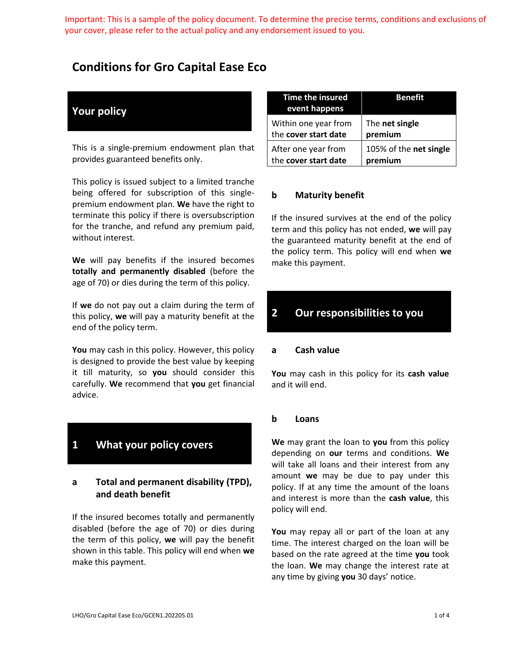Important: This is a sample of the policy document. To determine the precise terms, conditions and exclusions of your cover, please refer to the actual policy and any endorsement issued to you.

## **Conditions for Gro Capital Ease Eco**

## **Your policy**

This is a single-premium endowment plan that provides guaranteed benefits only.

This policy is issued subject to a limited tranche being offered for subscription of this singlepremium endowment plan. **We** have the right to terminate this policy if there is oversubscription for the tranche, and refund any premium paid, without interest.

**We** will pay benefits if the insured becomes **totally and permanently disabled** (before the age of 70) or dies during the term of this policy.

If **we** do not pay out a claim during the term of this policy, **we** will pay a maturity benefit at the end of the policy term.

**You** may cash in this policy. However, this policy is designed to provide the best value by keeping it till maturity, so **you** should consider this carefully. **We** recommend that **you** get financial advice.

# **1 What your policy covers**

### **a Total and permanent disability (TPD), and death benefit**

If the insured becomes totally and permanently disabled (before the age of 70) or dies during the term of this policy, **we** will pay the benefit shown in this table. This policy will end when **we** make this payment.

| <b>Time the insured</b><br>event happens | <b>Benefit</b>         |
|------------------------------------------|------------------------|
| Within one year from                     | The net single         |
| the cover start date                     | premium                |
| After one year from                      | 105% of the net single |
| the cover start date                     | premium                |

#### **b Maturity benefit**

If the insured survives at the end of the policy term and this policy has not ended, **we** will pay the guaranteed maturity benefit at the end of the policy term. This policy will end when **we** make this payment.

## **2 Our responsibilities to you**

#### **a Cash value**

**You** may cash in this policy for its **cash value** and it will end.

#### **b Loans**

**We** may grant the loan to **you** from this policy depending on **our** terms and conditions. **We** will take all loans and their interest from any amount **we** may be due to pay under this policy. If at any time the amount of the loans and interest is more than the **cash value**, this policy will end.

**You** may repay all or part of the loan at any time. The interest charged on the loan will be based on the rate agreed at the time **you** took the loan. **We** may change the interest rate at any time by giving **you** 30 days' notice.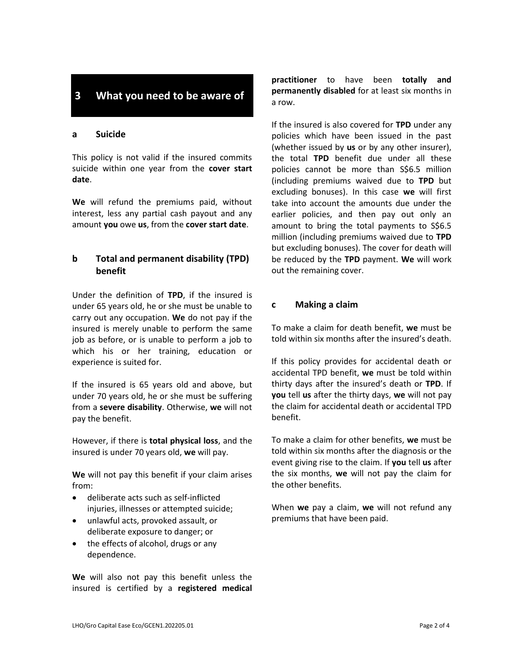## **3 What you need to be aware of**

#### **a Suicide**

This policy is not valid if the insured commits suicide within one year from the **cover start date**.

**We** will refund the premiums paid, without interest, less any partial cash payout and any amount **you** owe **us**, from the **cover start date**.

## **b Total and permanent disability (TPD) benefit**

Under the definition of **TPD**, if the insured is under 65 years old, he or she must be unable to carry out any occupation. **We** do not pay if the insured is merely unable to perform the same job as before, or is unable to perform a job to which his or her training, education or experience is suited for.

If the insured is 65 years old and above, but under 70 years old, he or she must be suffering from a **severe disability**. Otherwise, **we** will not pay the benefit.

However, if there is **total physical loss**, and the insured is under 70 years old, **we** will pay.

**We** will not pay this benefit if your claim arises from:

- deliberate acts such as self-inflicted injuries, illnesses or attempted suicide;
- unlawful acts, provoked assault, or deliberate exposure to danger; or
- the effects of alcohol, drugs or any dependence.

**We** will also not pay this benefit unless the insured is certified by a **registered medical**  **practitioner** to have been **totally and permanently disabled** for at least six months in a row.

If the insured is also covered for **TPD** under any policies which have been issued in the past (whether issued by **us** or by any other insurer), the total **TPD** benefit due under all these policies cannot be more than S\$6.5 million (including premiums waived due to **TPD** but excluding bonuses). In this case **we** will first take into account the amounts due under the earlier policies, and then pay out only an amount to bring the total payments to S\$6.5 million (including premiums waived due to **TPD** but excluding bonuses). The cover for death will be reduced by the **TPD** payment. **We** will work out the remaining cover.

#### **c Making a claim**

To make a claim for death benefit, **we** must be told within six months after the insured's death.

If this policy provides for accidental death or accidental TPD benefit, **we** must be told within thirty days after the insured's death or **TPD**. If **you** tell **us** after the thirty days, **we** will not pay the claim for accidental death or accidental TPD benefit.

To make a claim for other benefits, **we** must be told within six months after the diagnosis or the event giving rise to the claim. If **you** tell **us** after the six months, **we** will not pay the claim for the other benefits.

When **we** pay a claim, **we** will not refund any premiums that have been paid.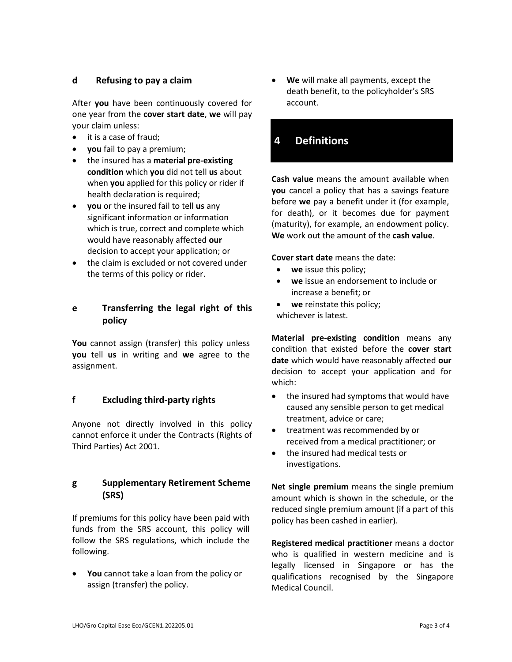### **d Refusing to pay a claim**

After **you** have been continuously covered for one year from the **cover start date**, **we** will pay your claim unless:

- it is a case of fraud;
- **you** fail to pay a premium;
- the insured has a **material pre-existing condition** which **you** did not tell **us** about when **you** applied for this policy or rider if health declaration is required;
- **you** or the insured fail to tell **us** any significant information or information which is true, correct and complete which would have reasonably affected **our** decision to accept your application; or
- the claim is excluded or not covered under the terms of this policy or rider.

## **e Transferring the legal right of this policy**

You cannot assign (transfer) this policy unless **you** tell **us** in writing and **we** agree to the assignment.

### **f Excluding third-party rights**

Anyone not directly involved in this policy cannot enforce it under the Contracts (Rights of Third Parties) Act 2001.

### **g Supplementary Retirement Scheme (SRS)**

If premiums for this policy have been paid with funds from the SRS account, this policy will follow the SRS regulations, which include the following.

• **You** cannot take a loan from the policy or assign (transfer) the policy.

• **We** will make all payments, except the death benefit, to the policyholder's SRS account.

## **4 Definitions**

**Cash value** means the amount available when **you** cancel a policy that has a savings feature before **we** pay a benefit under it (for example, for death), or it becomes due for payment (maturity), for example, an endowment policy. **We** work out the amount of the **cash value**.

**Cover start date** means the date:

- **we** issue this policy;
- **we** issue an endorsement to include or increase a benefit; or
- **we** reinstate this policy; whichever is latest.

**Material pre-existing condition** means any condition that existed before the **cover start date** which would have reasonably affected **our** decision to accept your application and for which:

- the insured had symptoms that would have caused any sensible person to get medical treatment, advice or care;
- treatment was recommended by or received from a medical practitioner; or
- the insured had medical tests or investigations.

**Net single premium** means the single premium amount which is shown in the schedule, or the reduced single premium amount (if a part of this policy has been cashed in earlier).

**Registered medical practitioner** means a doctor who is qualified in western medicine and is legally licensed in Singapore or has the qualifications recognised by the Singapore Medical Council.